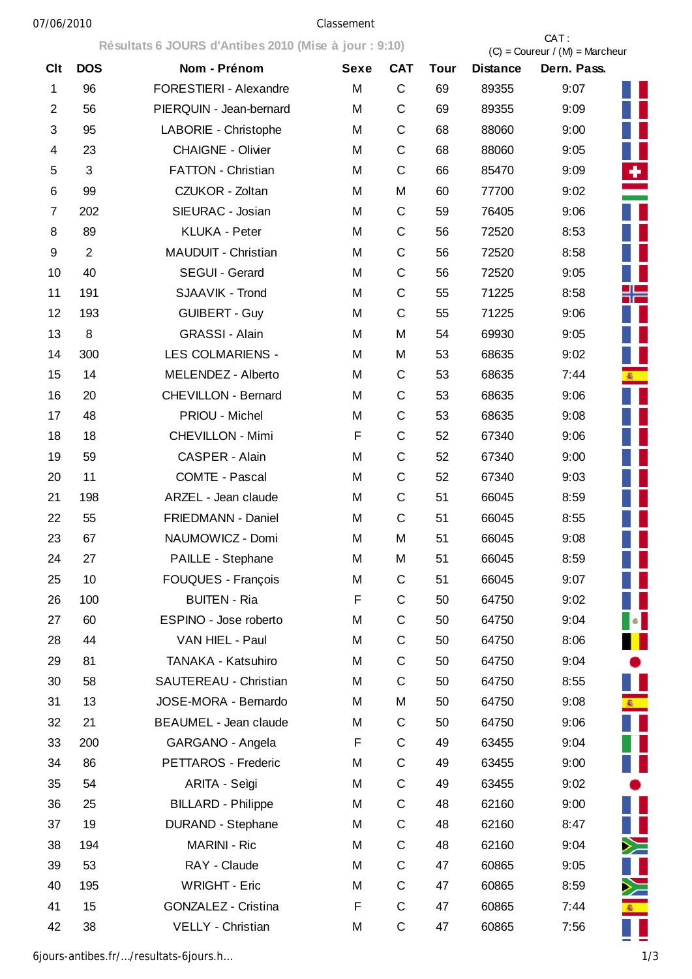**Résultats 6 JOURS d'Antibes 2010 (Mise à jour : 9:10)** CAT :  $(C) =$  Coureur /  $(M) =$  Marcheur Clt DOS Nom - Prénom Sexe CAT Tour Distance Dern. Pass. 1 96 FORESTIERI - Alexandre M C 69 89355 9:07 2 56 PIERQUIN - Jean-bernard M C 69 89355 9:09 3 95 LABORIE - Christophe M C 68 88060 9:00 4 23 CHAIGNE - Olivier M C 68 88060 9:05 5 3 FATTON - Christian M C 66 85470 9:09 6 99 CZUKOR - Zoltan M M 60 77700 9:02 7 202 SIEURAC - Josian M C 59 76405 9:06 8 89 KLUKA - Peter M C 56 72520 8:53 9 2 MAUDUIT - Christian M C 56 72520 8:58 10 40 SEGUI - Gerard M C 56 72520 9:05 11 191 SJAAVIK - Trond M C 55 71225 8:58 12 193 GUIBERT - Guy M C 55 71225 9:06 13 8 GRASSI - Alain M M 54 69930 9:05 14 300 LES COLMARIENS - M M 53 68635 9:02 15 14 MELENDEZ - Alberto M C 53 68635 7:44 16 20 CHEVILLON - Bernard M C 53 68635 9:06 17 48 PRIOU - Michel M C 53 68635 9:08 18 18 CHEVILLON - Mimi F C 52 67340 9:06 19 59 CASPER - Alain M C 52 67340 9:00 20 11 COMTE - Pascal M C 52 67340 9:03 21 198 ARZEL - Jean claude M C 51 66045 8:59 22 55 FRIEDMANN - Daniel M C 51 66045 8:55 23 67 NAUMOWICZ - Domi M M 51 66045 9:08 24 27 PAILLE - Stephane M M 51 66045 8:59 25 10 FOUQUES - François M C 51 66045 9:07 26 100 BUITEN - Ria F C 50 64750 9:02 27 60 ESPINO - Jose roberto M C 50 64750 9:04 28 44 VAN HIEL - Paul M C 50 64750 8:06 29 81 TANAKA - Katsuhiro M C 50 64750 9:04 30 58 SAUTEREAU - Christian M C 50 64750 8:55 31 13 JOSE-MORA - Bernardo M M 50 64750 9:08 32 21 BEAUMEL - Jean claude M C 50 64750 9:06 33 200 GARGANO - Angela F C 49 63455 9:04 34 86 PETTAROS - Frederic M C 49 63455 9:00 35 54 ARITA - Seìgi M C 49 63455 9:02 36 25 BILLARD - Philippe M C 48 62160 9:00 37 19 DURAND - Stephane M C 48 62160 8:47 38 194 MARINI - Ric M C 48 62160 9:04 39 53 RAY - Claude M C 47 60865 9:05 40 195 WRIGHT - Eric M C 47 60865 8:59 41 15 GONZALEZ - Cristina F C 47 60865 7:44 42 38 VELLY - Christian M C 47 60865 7:56

6jours-antibes.fr/…/resultats-6jours.h… 1/3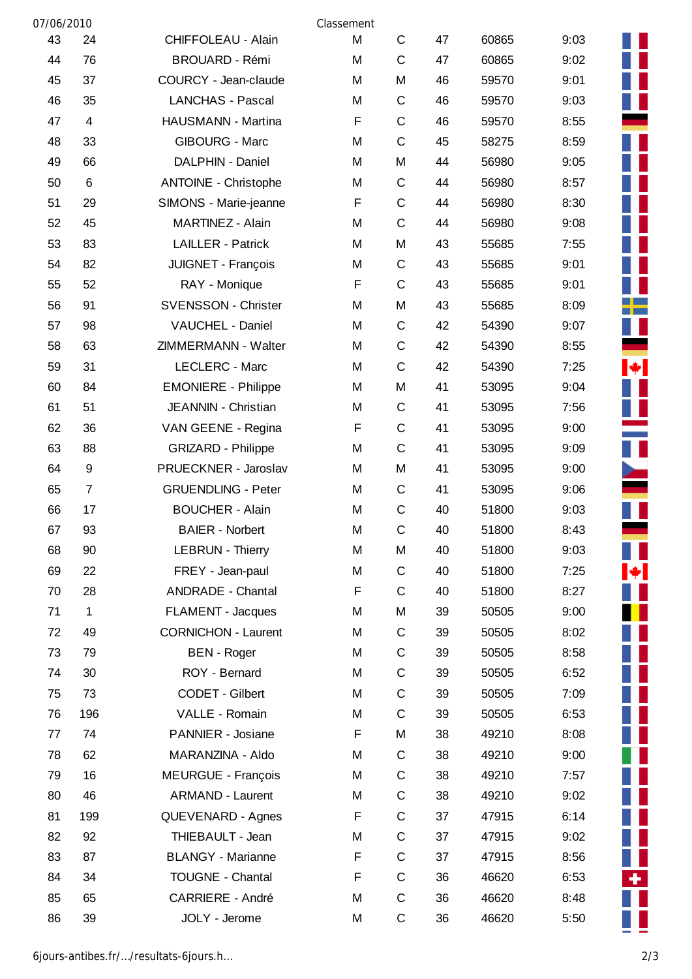| 07/06/2010 |                |                             | Classement |             |    |       |      |  |
|------------|----------------|-----------------------------|------------|-------------|----|-------|------|--|
| 43         | 24             | <b>CHIFFOLEAU - Alain</b>   | M          | C           | 47 | 60865 | 9:03 |  |
| 44         | 76             | <b>BROUARD - Rémi</b>       | M          | $\mathsf C$ | 47 | 60865 | 9:02 |  |
| 45         | 37             | COURCY - Jean-claude        | M          | M           | 46 | 59570 | 9:01 |  |
| 46         | 35             | <b>LANCHAS - Pascal</b>     | Μ          | C           | 46 | 59570 | 9:03 |  |
| 47         | $\overline{4}$ | HAUSMANN - Martina          | F          | $\mathsf C$ | 46 | 59570 | 8:55 |  |
| 48         | 33             | <b>GIBOURG - Marc</b>       | M          | $\mathsf C$ | 45 | 58275 | 8:59 |  |
| 49         | 66             | DALPHIN - Daniel            | M          | M           | 44 | 56980 | 9:05 |  |
| 50         | 6              | <b>ANTOINE - Christophe</b> | M          | $\mathsf C$ | 44 | 56980 | 8:57 |  |
| 51         | 29             | SIMONS - Marie-jeanne       | F          | $\mathsf C$ | 44 | 56980 | 8:30 |  |
| 52         | 45             | MARTINEZ - Alain            | M          | C           | 44 | 56980 | 9:08 |  |
| 53         | 83             | <b>LAILLER - Patrick</b>    | M          | M           | 43 | 55685 | 7:55 |  |
| 54         | 82             | JUIGNET - François          | М          | C           | 43 | 55685 | 9:01 |  |
| 55         | 52             | RAY - Monique               | F          | C           | 43 | 55685 | 9:01 |  |
| 56         | 91             | <b>SVENSSON - Christer</b>  | M          | M           | 43 | 55685 | 8:09 |  |
| 57         | 98             | VAUCHEL - Daniel            | M          | C           | 42 | 54390 | 9:07 |  |
| 58         | 63             | ZIMMERMANN - Walter         | М          | C           | 42 | 54390 | 8:55 |  |
| 59         | 31             | LECLERC - Marc              | M          | $\mathsf C$ | 42 | 54390 | 7:25 |  |
| 60         | 84             | <b>EMONIERE - Philippe</b>  | M          | M           | 41 | 53095 | 9:04 |  |
| 61         | 51             | JEANNIN - Christian         | M          | C           | 41 | 53095 | 7:56 |  |
| 62         | 36             | VAN GEENE - Regina          | F          | C           | 41 | 53095 | 9:00 |  |
| 63         | 88             | <b>GRIZARD - Philippe</b>   | M          | $\mathsf C$ | 41 | 53095 | 9:09 |  |
| 64         | 9              | PRUECKNER - Jaroslav        | M          | M           | 41 | 53095 | 9:00 |  |
| 65         | $\overline{7}$ | <b>GRUENDLING - Peter</b>   | М          | $\mathsf C$ | 41 | 53095 | 9:06 |  |
| 66         | 17             | <b>BOUCHER - Alain</b>      | М          | C           | 40 | 51800 | 9:03 |  |
| 67         | 93             | <b>BAIER - Norbert</b>      | M          | C           | 40 | 51800 | 8:43 |  |
| 68         | 90             | <b>LEBRUN - Thierry</b>     | M          | M           | 40 | 51800 | 9:03 |  |
| 69         | 22             | FREY - Jean-paul            | Μ          | C           | 40 | 51800 | 7:25 |  |
| 70         | 28             | <b>ANDRADE - Chantal</b>    | F          | C           | 40 | 51800 | 8:27 |  |
| 71         | 1              | <b>FLAMENT - Jacques</b>    | М          | M           | 39 | 50505 | 9:00 |  |
| 72         | 49             | <b>CORNICHON - Laurent</b>  | М          | C           | 39 | 50505 | 8:02 |  |
| 73         | 79             | <b>BEN</b> - Roger          | М          | C           | 39 | 50505 | 8:58 |  |
| 74         | 30             | ROY - Bernard               | М          | C           | 39 | 50505 | 6:52 |  |
| 75         | 73             | CODET - Gilbert             | M          | C           | 39 | 50505 | 7:09 |  |
| 76         | 196            | VALLE - Romain              | М          | C           | 39 | 50505 | 6:53 |  |
| 77         | 74             | PANNIER - Josiane           | F          | M           | 38 | 49210 | 8:08 |  |
| 78         | 62             | MARANZINA - Aldo            | M          | C           | 38 | 49210 | 9:00 |  |
| 79         | 16             | <b>MEURGUE - François</b>   | М          | C           | 38 | 49210 | 7:57 |  |
| 80         | 46             | <b>ARMAND - Laurent</b>     | М          | C           | 38 | 49210 | 9:02 |  |
| 81         | 199            | QUEVENARD - Agnes           | F          | C           | 37 | 47915 | 6:14 |  |
| 82         | 92             | THIEBAULT - Jean            | M          | C           | 37 | 47915 | 9:02 |  |
| 83         | 87             | <b>BLANGY - Marianne</b>    | F          | C           | 37 | 47915 | 8:56 |  |
| 84         | 34             | <b>TOUGNE - Chantal</b>     | F          | C           | 36 | 46620 | 6:53 |  |
| 85         | 65             | <b>CARRIERE - André</b>     | M          | C           | 36 | 46620 | 8:48 |  |
| 86         | 39             | JOLY - Jerome               | М          | C           | 36 | 46620 | 5:50 |  |

H Г П П f **THE SERVE THE SERVER** Т  $|\mathbf{\bullet}|$ ٠

Ш